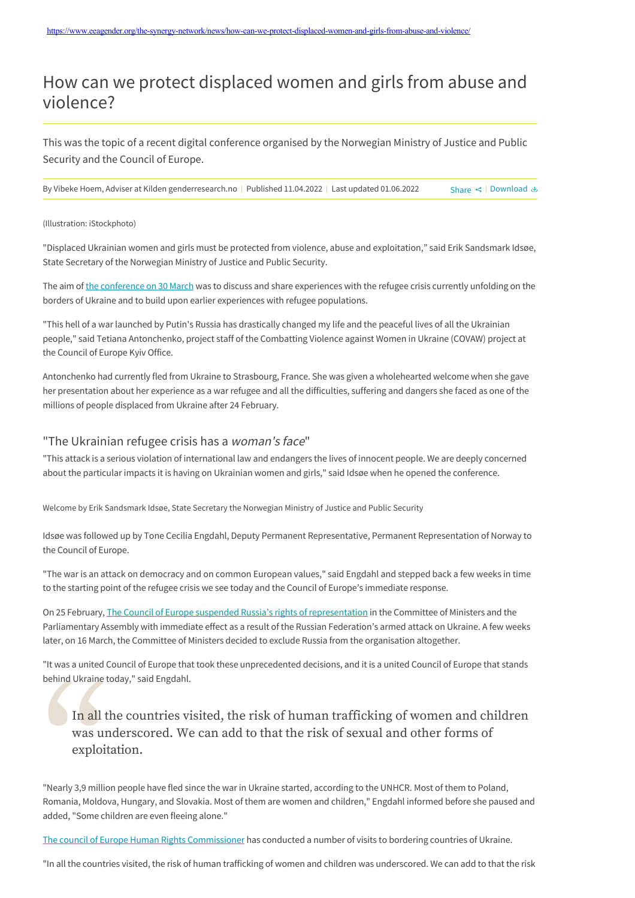# How can we protect displaced women and girls from abuse and violence?

This was the topic of a recent digital conference organised by the Norwegian Ministry of Justice and Public Security and the Council of Europe.

By Vibeke Hoem, Adviser at Kilden genderresearch.no | Published 11.04.2022 | Last updated 01.06.2022 Share < | [Download](https://www.eeagender.org/the-synergy-network/news/how-can-we-protect-displaced-women-and-girls-from-abuse-and-violence/Download) e Share < | Download &

#### (Illustration: iStockphoto)

"Displaced Ukrainian women and girls must be protected from violence, abuse and exploitation," said Erik Sandsmark Idsøe, State Secretary of the Norwegian Ministry of Justice and Public Security.

The aim of [the conference on 30 March](https://www.eeagender.org/the-synergy-network/Events/protecting-refugee-migrant-and-asylum-seeking-women-and-girls/) was to discuss and share experiences with the refugee crisis currently unfolding on the borders of Ukraine and to build upon earlier experiences with refugee populations.

"This hell of a war launched by Putin's Russia has drastically changed my life and the peaceful lives of all the Ukrainian people," said Tetiana Antonchenko, project staff of the Combatting Violence against Women in Ukraine (COVAW) project at the Council of Europe Kyiv Office.

Antonchenko had currently fled from Ukraine to Strasbourg, France. She was given a wholehearted welcome when she gave her presentation about her experience as a war refugee and all the difficulties, suffering and dangers she faced as one of the millions of people displaced from Ukraine after 24 February.

### "The Ukrainian refugee crisis has a woman's face"

"This attack is a serious violation of international law and endangers the lives of innocent people. We are deeply concerned about the particular impacts it is having on Ukrainian women and girls," said Idsøe when he opened the conference.

Welcome by Erik Sandsmark Idsøe, State Secretary the Norwegian Ministry of Justice and Public Security

Idsøe was followed up by Tone Cecilia Engdahl, Deputy Permanent Representative, Permanent Representation of Norway to the Council of Europe.

"The war is an attack on democracy and on common European values," said Engdahl and stepped back a few weeks in time to the starting point of the refugee crisis we see today and the Council of Europe's immediate response.

On 25 February, [The Council of Europe suspended Russia's rights of representation](https://www.coe.int/en/web/portal/-/council-of-europe-suspends-russia-s-rights-of-representation) in the Committee of Ministers and the Parliamentary Assembly with immediate effect as a result of the Russian Federation's armed attack on Ukraine. A few weeks later, on 16 March, the Committee of Ministers decided to exclude Russia from the organisation altogether.

"It was a united Council of Europe that took these unprecedented decisions, and it is a united Council of Europe that stands behind Ukraine today," said Engdahl.

## In all the countries visited, the risk of human trafficking of women and children was underscored. We can add to that the risk of sexual and other forms of exploitation.

In all the countries very and any other was underscored. We exploitation.<br>"Nearly 3,9 million people have fled sind and solve added, "Some children are even fleeired "Nearly 3,9 million people have fled since the war in Ukraine started, according to the UNHCR. Most of them to Poland, Romania, Moldova, Hungary, and Slovakia. Most of them are women and children," Engdahl informed before she paused and added, "Some children are even fleeing alone."

[The council of Europe Human Rights Commissioner](https://www.coe.int/en/web/commissioner) has conducted a number of visits to bordering countries of Ukraine.

"In all the countries visited, the risk of human trafficking of women and children was underscored. We can add to that the risk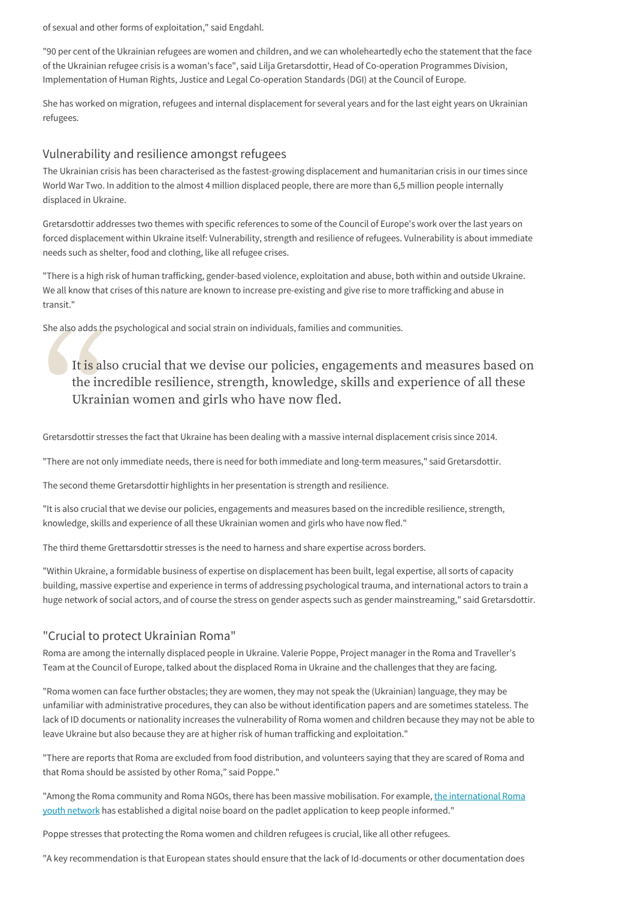of sexual and other forms of exploitation," said Engdahl.

"90 per cent of the Ukrainian refugees are women and children, and we can wholeheartedly echo the statement that the face of the Ukrainian refugee crisis is a woman's face", said Lilja Gretarsdottir, Head of Co-operation Programmes Division, Implementation of Human Rights, Justice and Legal Co-operation Standards (DGI) at the Council of Europe.

She has worked on migration, refugees and internal displacement for several years and for the last eight years on Ukrainian refugees.

### Vulnerability and resilience amongst refugees

The Ukrainian crisis has been characterised as the fastest-growing displacement and humanitarian crisis in our times since World War Two. In addition to the almost 4 million displaced people, there are more than 6,5 million people internally displaced in Ukraine.

Gretarsdottir addresses two themes with specific references to some of the Council of Europe's work over the last years on forced displacement within Ukraine itself: Vulnerability, strength and resilience of refugees. Vulnerability is about immediate needs such as shelter, food and clothing, like all refugee crises.

"There is a high risk of human trafficking, gender-based violence, exploitation and abuse, both within and outside Ukraine. We all know that crises of this nature are known to increase pre-existing and give rise to more trafficking and abuse in transit."

She also adds the psychological and social strain on individuals, families and communities.

It is also crucial that<br>the incredible resilie<br>Ukrainian women and<br>Gretarsdottir stresses the fact that Uk<br>"There are not only immediate needs. It is also crucial that we devise our policies, engagements and measures based on the incredible resilience, strength, knowledge, skills and experience of all these Ukrainian women and girls who have now fled.

Gretarsdottir stresses the fact that Ukraine has been dealing with a massive internal displacement crisis since 2014.

"There are not only immediate needs, there is need for both immediate and long-term measures," said Gretarsdottir.

The second theme Gretarsdottir highlights in her presentation is strength and resilience.

"It is also crucial that we devise our policies, engagements and measures based on the incredible resilience, strength, knowledge, skills and experience of all these Ukrainian women and girls who have now fled."

The third theme Grettarsdottir stresses is the need to harness and share expertise across borders.

"Within Ukraine, a formidable business of expertise on displacement has been built, legal expertise, all sorts of capacity building, massive expertise and experience in terms of addressing psychological trauma, and international actors to train a huge network of social actors, and of course the stress on gender aspects such as gender mainstreaming," said Gretarsdottir.

### "Crucial to protect Ukrainian Roma"

Roma are among the internally displaced people in Ukraine. Valerie Poppe, Project manager in the Roma and Traveller's Team at the Council of Europe, talked about the displaced Roma in Ukraine and the challenges that they are facing.

"Roma women can face further obstacles; they are women, they may not speak the (Ukrainian) language, they may be unfamiliar with administrative procedures, they can also be without identification papers and are sometimes stateless. The lack of ID documents or nationality increases the vulnerability of Roma women and children because they may not be able to leave Ukraine but also because they are at higher risk of human trafficking and exploitation."

"There are reports that Roma are excluded from food distribution, and volunteers saying that they are scared of Roma and that Roma should be assisted by other Roma," said Poppe."

["Among the Roma community and Roma NGOs, there has been massive mobilisation. For example, the international Roma](http://www.ternype.eu/) youth network has established a digital noise board on the padlet application to keep people informed."

Poppe stresses that protecting the Roma women and children refugees is crucial, like all other refugees.

"A key recommendation is that European states should ensure that the lack of Id-documents or other documentation does